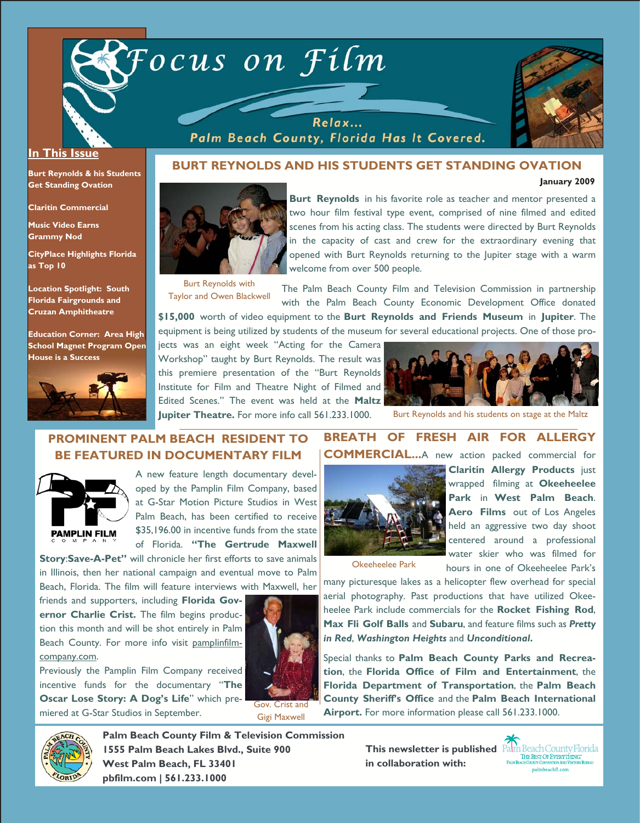



**January 2009** 

#### **In This Issue**

**Burt Reynolds & his Students Get Standing Ovation** 

**Claritin Commercial** 

**Music Video Earns Grammy Nod** 

**CityPlace Highlights Florida as Top 10** 

**Location Spotlight: South Florida Fairgrounds and Cruzan Amphitheatre** 

**Education Corner: Area High School Magnet Program Open House is a Success** 



### **BURT REYNOLDS AND HIS STUDENTS GET STANDING OVATION**

Relax... Palm Beach County, Florida Has It Covered.



Burt Reynolds with Taylor and Owen Blackwell **Burt Reynolds** in his favorite role as teacher and mentor presented a two hour film festival type event, comprised of nine filmed and edited scenes from his acting class. The students were directed by Burt Reynolds in the capacity of cast and crew for the extraordinary evening that opened with Burt Reynolds returning to the Jupiter stage with a warm welcome from over 500 people.

The Palm Beach County Film and Television Commission in partnership with the Palm Beach County Economic Development Office donated

**\$15,000** worth of video equipment to the **Burt Reynolds and Friends Museum** in **Jupiter**. The equipment is being utilized by students of the museum for several educational projects. One of those pro-

jects was an eight week "Acting for the Camera Workshop" taught by Burt Reynolds. The result was this premiere presentation of the "Burt Reynolds Institute for Film and Theatre Night of Filmed and Edited Scenes." The event was held at the **Maltz Jupiter Theatre.** For more info call 561.233.1000.



Burt Reynolds and his students on stage at the Maltz

# **PROMINENT PALM BEACH RESIDENT TO BE FEATURED IN DOCUMENTARY FILM**



A new feature length documentary developed by the Pamplin Film Company, based at G-Star Motion Picture Studios in West Palm Beach, has been certified to receive \$35,196.00 in incentive funds from the state of Florida. **"The Gertrude Maxwell** 

**Story**:**Save-A-Pet"** will chronicle her first efforts to save animals in Illinois, then her national campaign and eventual move to Palm Beach, Florida. The film will feature interviews with Maxwell, her

friends and supporters, including **Florida Governor Charlie Crist.** The film begins production this month and will be shot entirely in Palm Beach County. For more info visit pamplinfilmcompany.com.

Previously the Pamplin Film Company received incentive funds for the documentary "**The Oscar Lose Story: A Dog's Life**" which premiered at G-Star Studios in September.



Gov. Crist and Gigi Maxwell

## **BREATH OF FRESH AIR FOR ALLERGY COMMERCIAL...**A new action packed commercial for



**Claritin Allergy Products** just wrapped filming at **Okeeheelee Park** in **West Palm Beach**. **Aero Films** out of Los Angeles held an aggressive two day shoot centered around a professional water skier who was filmed for hours in one of Okeeheelee Park's

Okeeheelee Park

many picturesque lakes as a helicopter flew overhead for special aerial photography. Past productions that have utilized Okeeheelee Park include commercials for the **Rocket Fishing Rod**, **Max Fli Golf Balls** and **Subaru**, and feature films such as *Pretty in Red*, *Washington Heights* and *Unconditional***.** 

Special thanks to **Palm Beach County Parks and Recreation**, the **Florida Office of Film and Entertainment**, the **Florida Department of Transportation**, the **Palm Beach County Sheriff's Office** and the **Palm Beach International Airport.** For more information please call 561.233.1000.



**Palm Beach County Film & Television Commission 1555 Palm Beach Lakes Blvd., Suite 900 West Palm Beach, FL 33401 pbfilm.com | 561.233.1000** 

**in collaboration with:**

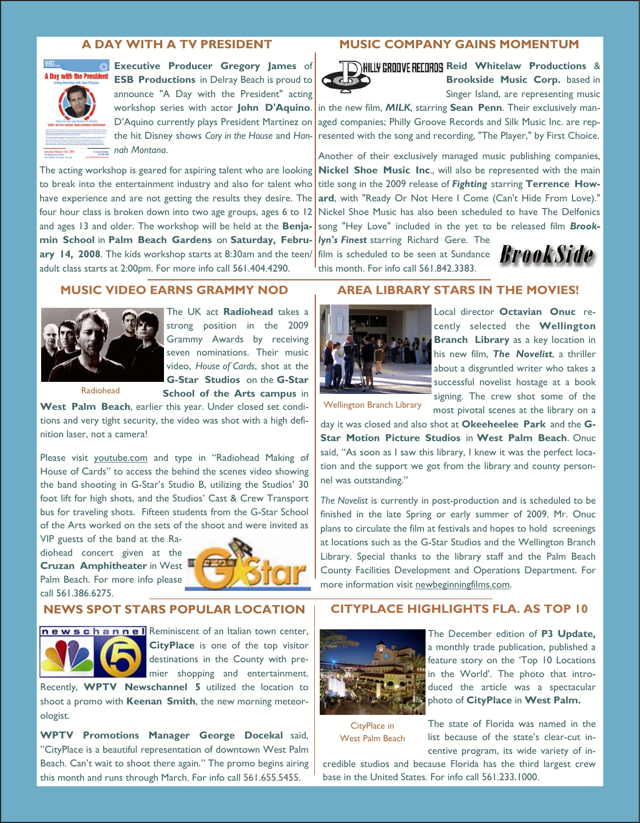#### **A DAY WITH A TV PRESIDENT**



**Executive Producer Gregory James** of **ESB Productions** in Delray Beach is proud to announce "A Day with the President" acting workshop series with actor **John D'Aquino**. D'Aquino currently plays President Martinez on the hit Disney shows *Cory in the House* and *Hannah Montana*.

The acting workshop is geared for aspiring talent who are looking to break into the entertainment industry and also for talent who have experience and are not getting the results they desire. The four hour class is broken down into two age groups, ages 6 to  $12$ and ages 13 and older. The workshop will be held at the **Benjamin School** in **Palm Beach Gardens** on **Saturday, February 14, 2008**. The kids workshop starts at 8:30am and the teen/ adult class starts at 2:00pm. For more info call 561.404.4290.

#### **MUSIC COMPANY GAINS MOMENTUM**



**D)HILLY GROOVE RECORDS** Reid Whitelaw Productions & **Brookside Music Corp.** based in Singer Island, are representing music

in the new film, *MILK*, starring **Sean Penn**. Their exclusively managed companies; Philly Groove Records and Silk Music Inc. are represented with the song and recording, "The Player," by First Choice.

Another of their exclusively managed music publishing companies, **Nickel Shoe Music Inc**., will also be represented with the main title song in the 2009 release of *Fighting* starring **Terrence Howard**, with "Ready Or Not Here I Come (Can't Hide From Love)." Nickel Shoe Music has also been scheduled to have The Delfonics song "Hey Love" included in the yet to be released film *Brook-*

*lyn's Finest* starring Richard Gere. The film is scheduled to be seen at Sundance  $\boldsymbol{B}$ **POOK SIDP** this month. For info call 561.842.3383.



### **MUSIC VIDEO EARNS GRAMMY NOD**



The UK act **Radiohead** takes a strong position in the 2009 Grammy Awards by receiving seven nominations. Their music video, *House of Cards*, shot at the **G-Star Studios** on the **G-Star School of the Arts campus** in

Radiohead

**West Palm Beach**, earlier this year. Under closed set conditions and very tight security, the video was shot with a high definition laser, not a camera!

Please visit youtube.com and type in "Radiohead Making of House of Cards" to access the behind the scenes video showing the band shooting in G-Star's Studio B, utilizing the Studios' 30 foot lift for high shots, and the Studios' Cast & Crew Transport bus for traveling shots. Fifteen students from the G-Star School of the Arts worked on the sets of the shoot and were invited as

VIP guests of the band at the Radiohead concert given at the **Cruzan Amphitheater** in West Palm Beach. For more info please call 561.386.6275.



#### **NEWS SPOT STARS POPULAR LOCATION**



newschannel Reminiscent of an Italian town center, **CityPlace** is one of the top visitor destinations in the County with premier shopping and entertainment.

Recently, **WPTV Newschannel 5** utilized the location to shoot a promo with **Keenan Smith**, the new morning meteorologist.

**WPTV Promotions Manager George Docekal** said, "CityPlace is a beautiful representation of downtown West Palm Beach. Can't wait to shoot there again." The promo begins airing this month and runs through March. For info call 561.655.5455.

### **AREA LIBRARY STARS IN THE MOVIES!**



Local director **Octavian Onuc** recently selected the **Wellington Branch Library** as a key location in his new film, *The Novelist*, a thriller about a disgruntled writer who takes a successful novelist hostage at a book signing. The crew shot some of the most pivotal scenes at the library on a

Wellington Branch Library

day it was closed and also shot at **Okeeheelee Park** and the **G-Star Motion Picture Studios** in **West Palm Beach**. Onuc said, "As soon as I saw this library, I knew it was the perfect location and the support we got from the library and county personnel was outstanding."

*The Novelist* is currently in post-production and is scheduled to be finished in the late Spring or early summer of 2009. Mr. Onuc plans to circulate the film at festivals and hopes to hold screenings at locations such as the G-Star Studios and the Wellington Branch Library. Special thanks to the library staff and the Palm Beach County Facilities Development and Operations Department. For more information visit newbeginningfilms.com.

### **CITYPLACE HIGHLIGHTS FLA. AS TOP 10**



The December edition of **P3 Update,**  a monthly trade publication, published a feature story on the 'Top 10 Locations in the World'. The photo that introduced the article was a spectacular photo of **CityPlace** in **West Palm.**

CityPlace in West Palm Beach

The state of Florida was named in the list because of the state's clear-cut incentive program, its wide variety of in-

credible studios and because Florida has the third largest crew base in the United States. For info call 561.233.1000.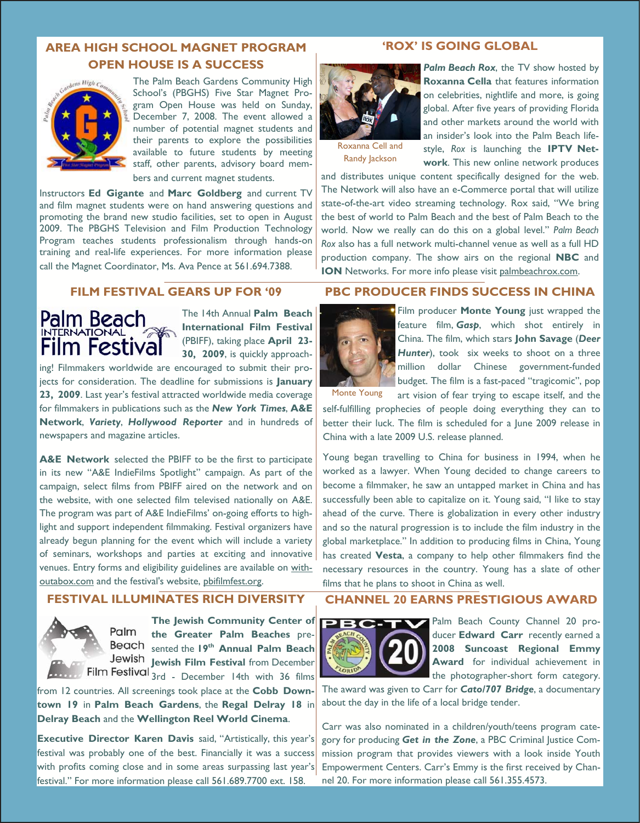# **AREA HIGH SCHOOL MAGNET PROGRAM OPEN HOUSE IS A SUCCESS**



The Palm Beach Gardens Community High School's (PBGHS) Five Star Magnet Program Open House was held on Sunday, December 7, 2008. The event allowed a number of potential magnet students and their parents to explore the possibilities available to future students by meeting staff, other parents, advisory board mem-

bers and current magnet students.

Instructors **Ed Gigante** and **Marc Goldberg** and current TV and film magnet students were on hand answering questions and promoting the brand new studio facilities, set to open in August 2009. The PBGHS Television and Film Production Technology Program teaches students professionalism through hands-on training and real-life experiences. For more information please call the Magnet Coordinator, Ms. Ava Pence at 561.694.7388.

#### **'ROX' IS GOING GLOBAL**



Roxanna Cell and Randy Jackson

**Palm Beach Rox**, the TV show hosted by **Roxanna Cella** that features information on celebrities, nightlife and more, is going global. After five years of providing Florida and other markets around the world with an insider's look into the Palm Beach lifestyle, *Rox* is launching the **IPTV Network**. This new online network produces

and distributes unique content specifically designed for the web. The Network will also have an e-Commerce portal that will utilize state-of-the-art video streaming technology. Rox said, "We bring the best of world to Palm Beach and the best of Palm Beach to the world. Now we really can do this on a global level." *Palm Beach Rox* also has a full network multi-channel venue as well as a full HD production company. The show airs on the regional **NBC** and **ION** Networks. For more info please visit palmbeachrox.com.

## **FILM FESTIVAL GEARS UP FOR '09**



The 14th Annual **Palm Beach International Film Festival**  (PBIFF), taking place **April 23- 30, 2009**, is quickly approach-

ing! Filmmakers worldwide are encouraged to submit their projects for consideration. The deadline for submissions is **January 23, 2009**. Last year's festival attracted worldwide media coverage for filmmakers in publications such as the *New York Times*, **A&E Network**, *Variety*, *Hollywood Reporter* and in hundreds of newspapers and magazine articles.

**A&E Network** selected the PBIFF to be the first to participate in its new "A&E IndieFilms Spotlight" campaign. As part of the campaign, select films from PBIFF aired on the network and on the website, with one selected film televised nationally on A&E. The program was part of A&E IndieFilms' on-going efforts to highlight and support independent filmmaking. Festival organizers have already begun planning for the event which will include a variety of seminars, workshops and parties at exciting and innovative venues. Entry forms and eligibility guidelines are available on withoutabox.com and the festival's website, pbifilmfest.org.

## **FESTIVAL ILLUMINATES RICH DIVERSITY**



**The Jewish Community Center of**  Palm **the Greater Palm Beaches** pre-Beach sented the 19<sup>th</sup> Annual Palm Beach Jewish Jewish Film Festival from December Film Festival  $3rd$  - December 14th with 36 films

from 12 countries. All screenings took place at the **Cobb Downtown 19** in **Palm Beach Gardens**, the **Regal Delray 18** in **Delray Beach** and the **Wellington Reel World Cinema**.

**Executive Director Karen Davis** said, "Artistically, this year's festival was probably one of the best. Financially it was a success with profits coming close and in some areas surpassing last year's festival." For more information please call 561.689.7700 ext. 158.

# **PBC PRODUCER FINDS SUCCESS IN CHINA**



Film producer **Monte Young** just wrapped the feature film, *Gasp*, which shot entirely in China. The film, which stars **John Savage** (*Deer*  Hunter), took six weeks to shoot on a three million dollar Chinese government-funded budget. The film is a fast-paced "tragicomic", pop

Monte Young

art vision of fear trying to escape itself, and the self-fulfilling prophecies of people doing everything they can to better their luck. The film is scheduled for a June 2009 release in China with a late 2009 U.S. release planned.

Young began travelling to China for business in 1994, when he worked as a lawyer. When Young decided to change careers to become a filmmaker, he saw an untapped market in China and has successfully been able to capitalize on it. Young said, "I like to stay ahead of the curve. There is globalization in every other industry and so the natural progression is to include the film industry in the global marketplace." In addition to producing films in China, Young has created **Vesta**, a company to help other filmmakers find the necessary resources in the country. Young has a slate of other films that he plans to shoot in China as well.

## **CHANNEL 20 EARNS PRESTIGIOUS AWARD**



Palm Beach County Channel 20 producer **Edward Carr** recently earned a **2008 Suncoast Regional Emmy Award** for individual achievement in the photographer-short form category.

The award was given to Carr for *Cato/707 Bridge*, a documentary about the day in the life of a local bridge tender.

Carr was also nominated in a children/youth/teens program category for producing *Get in the Zone*, a PBC Criminal Justice Commission program that provides viewers with a look inside Youth Empowerment Centers. Carr's Emmy is the first received by Channel 20. For more information please call 561.355.4573.